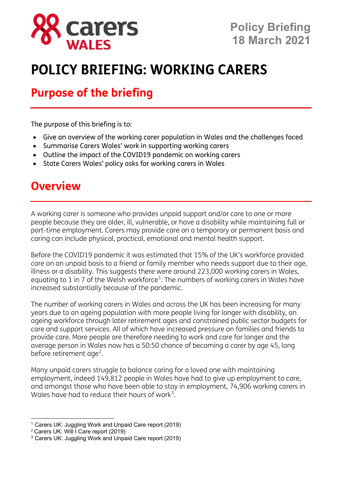

# **POLICY BRIEFING: WORKING CARERS**

### **Purpose of the briefing**

The purpose of this briefing is to:

- Give an overview of the working carer population in Wales and the challenges faced
- Summarise Carers Wales' work in supporting working carers
- Outline the impact of the COVID19 pandemic on working carers
- State Carers Wales' policy asks for working carers in Wales

#### **Overview**

A working carer is someone who provides unpaid support and/or care to one or more people because they are older, ill, vulnerable, or have a disability while maintaining full or part-time employment. Carers may provide care on a temporary or permanent basis and caring can include physical, practical, emotional and mental health support.

Before the COVID19 pandemic it was estimated that 15% of the UK's workforce provided care on an unpaid basis to a friend or family member who needs support due to their age, illness or a disability. This suggests there were around 223,000 working carers in Wales, equating to [1](#page-0-0) in 7 of the Welsh workforce<sup>1</sup>. The numbers of working carers in Wales have increased substantially because of the pandemic.

The number of working carers in Wales and across the UK has been increasing for many years due to an ageing population with more people living for longer with disability, an ageing workforce through later retirement ages and constrained public sector budgets for care and support services. All of which have increased pressure on families and friends to provide care. More people are therefore needing to work and care for longer and the average person in Wales now has a 50:50 chance of becoming a carer by age 45, long before retirement age<sup>[2](#page-0-1)</sup>.

Many unpaid carers struggle to balance caring for a loved one with maintaining employment, indeed 149,812 people in Wales have had to give up employment to care, and amongst those who have been able to stay in employment, 74,906 working carers in Wales have had to reduce their hours of work<sup>[3](#page-0-2)</sup>.

<span id="page-0-0"></span><sup>1</sup> Carers UK: Juggling Work and Unpaid Care report (2019)

<span id="page-0-1"></span><sup>2</sup> Carers UK: Will I Care report (2019)

<span id="page-0-2"></span><sup>3</sup> Carers UK: Juggling Work and Unpaid Care report (2019)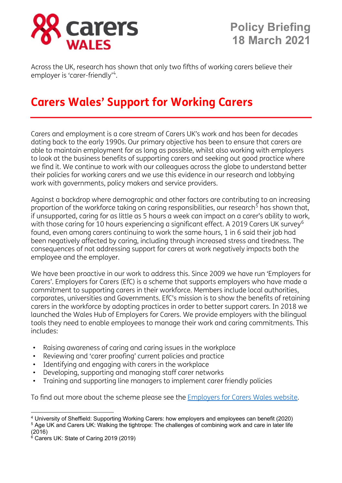

Across the UK, research has shown that only two fifths of working carers believe their employer is 'carer-friendly'<sup>[4](#page-1-0)</sup>.

### **Carers Wales' Support for Working Carers**

Carers and employment is a core stream of Carers UK's work and has been for decades dating back to the early 1990s. Our primary objective has been to ensure that carers are able to maintain employment for as long as possible, whilst also working with employers to look at the business benefits of supporting carers and seeking out good practice where we find it. We continue to work with our colleagues across the globe to understand better their policies for working carers and we use this evidence in our research and lobbying work with governments, policy makers and service providers.

Against a backdrop where demographic and other factors are contributing to an increasing proportion of the workforce taking on caring responsibilities, our research<sup>[5](#page-1-1)</sup> has shown that, if unsupported, caring for as little as 5 hours a week can impact on a carer's ability to work, with those caring for 10 hours experiencing a significant effect. A 2019 Carers UK survey<sup>[6](#page-1-2)</sup> found, even among carers continuing to work the same hours, 1 in 6 said their job had been negatively affected by caring, including through increased stress and tiredness. The consequences of not addressing support for carers at work negatively impacts both the employee and the employer.

We have been proactive in our work to address this. Since 2009 we have run 'Employers for Carers'. Employers for Carers (EfC) is a scheme that supports employers who have made a commitment to supporting carers in their workforce. Members include local authorities, corporates, universities and Governments. EfC's mission is to show the benefits of retaining carers in the workforce by adopting practices in order to better support carers. In 2018 we launched the Wales Hub of Employers for Carers. We provide employers with the bilingual tools they need to enable employees to manage their work and caring commitments. This includes:

- Raising awareness of caring and caring issues in the workplace
- Reviewing and 'carer proofing' current policies and practice
- Identifying and engaging with carers in the workplace
- Developing, supporting and managing staff carer networks
- Training and supporting line managers to implement carer friendly policies

To find out more about the scheme please see the **Employers for Carers Wales website.** 

(2016)

<span id="page-1-1"></span><span id="page-1-0"></span><sup>4</sup> University of Sheffield: Supporting Working Carers: how employers and employees can benefit (2020) <sup>5</sup> Age UK and Carers UK: Walking the tightrope: The challenges of combining work and care in later life

<span id="page-1-2"></span> $6$  Carers UK: State of Caring 2019 (2019)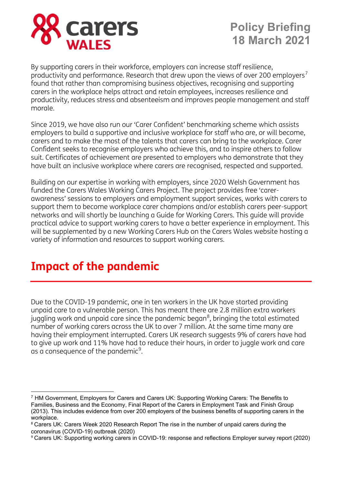

By supporting carers in their workforce, employers can increase staff resilience, productivity and performance. Research that drew upon the views of over 200 employers<sup>[7](#page-2-0)</sup> found that rather than compromising business objectives, recognising and supporting carers in the workplace helps attract and retain employees, increases resilience and productivity, reduces stress and absenteeism and improves people management and staff morale.

Since 2019, we have also run our 'Carer Confident' benchmarking scheme which assists employers to build a supportive and inclusive workplace for staff who are, or will become, carers and to make the most of the talents that carers can bring to the workplace. Carer Confident seeks to recognise employers who achieve this, and to inspire others to follow suit. Certificates of achievement are presented to employers who demonstrate that they have built an inclusive workplace where carers are recognised, respected and supported.

Building on our expertise in working with employers, since 2020 Welsh Government has funded the Carers Wales Working Carers Project. The project provides free 'carerawareness' sessions to employers and employment support services, works with carers to support them to become workplace carer champions and/or establish carers peer-support networks and will shortly be launching a Guide for Working Carers. This guide will provide practical advice to support working carers to have a better experience in employment. This will be supplemented by a new Working Carers Hub on the Carers Wales website hosting a variety of information and resources to support working carers.

### **Impact of the pandemic**

Due to the COVID-19 pandemic, one in ten workers in the UK have started providing unpaid care to a vulnerable person. This has meant there are 2.8 million extra workers juggling work and unpaid care since the pandemic began $^8$  $^8$ , bringing the total estimated number of working carers across the UK to over 7 million. At the same time many are having their employment interrupted. Carers UK research suggests 9% of carers have had to give up work and 11% have had to reduce their hours, in order to juggle work and care as a consequence of the pandemic $9$ .

<span id="page-2-0"></span><sup>7</sup> HM Government, Employers for Carers and Carers UK: Supporting Working Carers: The Benefits to Families, Business and the Economy, Final Report of the Carers in Employment Task and Finish Group (2013). This includes evidence from over 200 employers of the business benefits of supporting carers in the workplace.

<span id="page-2-1"></span><sup>&</sup>lt;sup>8</sup> Carers UK: Carers Week 2020 Research Report The rise in the number of unpaid carers during the coronavirus (COVID-19) outbreak (2020)

<span id="page-2-2"></span><sup>9</sup> Carers UK: Supporting working carers in COVID-19: response and reflections Employer survey report (2020)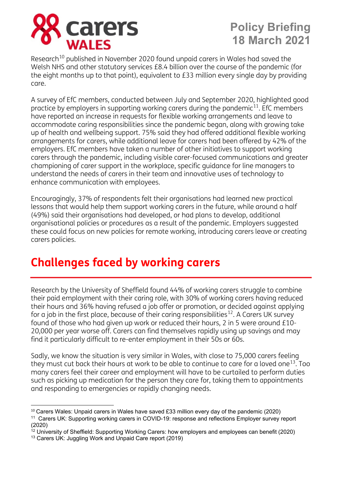

Research<sup>[10](#page-3-0)</sup> published in November 2020 found unpaid carers in Wales had saved the Welsh NHS and other statutory services £8.4 billion over the course of the pandemic (for the eight months up to that point), equivalent to £33 million every single day by providing care.

A survey of EfC members, conducted between July and September 2020, highlighted good practice by employers in supporting working carers during the pandemic<sup>[11](#page-3-1)</sup>. EfC members have reported an increase in requests for flexible working arrangements and leave to accommodate caring responsibilities since the pandemic began, along with growing take up of health and wellbeing support. 75% said they had offered additional flexible working arrangements for carers, while additional leave for carers had been offered by 42% of the employers. EfC members have taken a number of other initiatives to support working carers through the pandemic, including visible carer-focused communications and greater championing of carer support in the workplace, specific guidance for line managers to understand the needs of carers in their team and innovative uses of technology to enhance communication with employees.

Encouragingly, 37% of respondents felt their organisations had learned new practical lessons that would help them support working carers in the future, while around a half (49%) said their organisations had developed, or had plans to develop, additional organisational policies or procedures as a result of the pandemic. Employers suggested these could focus on new policies for remote working, introducing carers leave or creating carers policies.

## **Challenges faced by working carers**

Research by the University of Sheffield found 44% of working carers struggle to combine their paid employment with their caring role, with 30% of working carers having reduced their hours and 36% having refused a job offer or promotion, or decided against applying for a job in the first place, because of their caring responsibilities<sup>12</sup>. A Carers UK survey found of those who had given up work or reduced their hours, 2 in 5 were around £10- 20,000 per year worse off. Carers can find themselves rapidly using up savings and may find it particularly difficult to re-enter employment in their 50s or 60s.

Sadly, we know the situation is very similar in Wales, with close to 75,000 carers feeling they must cut back their hours at work to be able to continue to care for a loved one<sup>[13](#page-3-3)</sup>. Too many carers feel their career and employment will have to be curtailed to perform duties such as picking up medication for the person they care for, taking them to appointments and responding to emergencies or rapidly changing needs.

<span id="page-3-0"></span><sup>&</sup>lt;sup>10</sup> Carers Wales: Unpaid carers in Wales have saved £33 million every day of the pandemic (2020)

<span id="page-3-1"></span><sup>11</sup> Carers UK: Supporting working carers in COVID-19: response and reflections Employer survey report (2020)

<span id="page-3-2"></span> $12$  University of Sheffield: Supporting Working Carers: how employers and employees can benefit (2020)

<span id="page-3-3"></span><sup>13</sup> Carers UK: Juggling Work and Unpaid Care report (2019)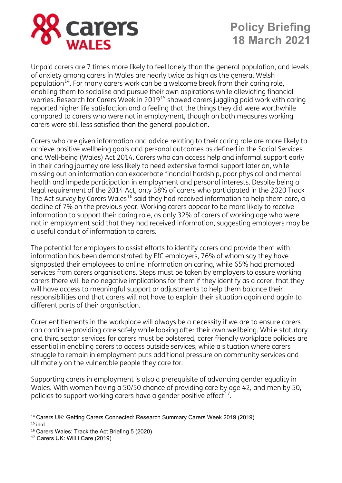

Unpaid carers are 7 times more likely to feel lonely than the general population, and levels of anxiety among carers in Wales are nearly twice as high as the general Welsh population<sup>[14](#page-4-0)</sup>. For many carers work can be a welcome break from their caring role, enabling them to socialise and pursue their own aspirations while alleviating financial worries. Research for Carers Week in 2019[15](#page-4-1) showed carers juggling paid work with caring reported higher life satisfaction and a feeling that the things they did were worthwhile compared to carers who were not in employment, though on both measures working carers were still less satisfied than the general population.

Carers who are given information and advice relating to their caring role are more likely to achieve positive wellbeing goals and personal outcomes as defined in the Social Services and Well-being (Wales) Act 2014. Carers who can access help and informal support early in their caring journey are less likely to need extensive formal support later on, while missing out on information can exacerbate financial hardship, poor physical and mental health and impede participation in employment and personal interests. Despite being a legal requirement of the 2014 Act, only 38% of carers who participated in the 2020 Track The Act survey by Carers Wales<sup>[16](#page-4-2)</sup> said they had received information to help them care, a decline of 7% on the previous year. Working carers appear to be more likely to receive information to support their caring role, as only 32% of carers of working age who were not in employment said that they had received information, suggesting employers may be a useful conduit of information to carers.

The potential for employers to assist efforts to identify carers and provide them with information has been demonstrated by EfC employers, 76% of whom say they have signposted their employees to online information on caring, while 65% had promoted services from carers organisations. Steps must be taken by employers to assure working carers there will be no negative implications for them if they identify as a carer, that they will have access to meaningful support or adjustments to help them balance their responsibilities and that carers will not have to explain their situation again and again to different parts of their organisation.

Carer entitlements in the workplace will always be a necessity if we are to ensure carers can continue providing care safely while looking after their own wellbeing. While statutory and third sector services for carers must be bolstered, carer friendly workplace policies are essential in enabling carers to access outside services, while a situation where carers struggle to remain in employment puts additional pressure on community services and ultimately on the vulnerable people they care for.

Supporting carers in employment is also a prerequisite of advancing gender equality in Wales. With women having a 50/50 chance of providing care by age 42, and men by 50, policies to support working carers have a gender positive effect<sup>[17](#page-4-3)</sup>.

<span id="page-4-0"></span><sup>14</sup> Carers UK: Getting Carers Connected: Research Summary Carers Week 2019 (2019)  $15$  ibid

<span id="page-4-2"></span><span id="page-4-1"></span><sup>16</sup> Carers Wales: Track the Act Briefing 5 (2020)

<span id="page-4-3"></span><sup>17</sup> Carers UK: Will I Care (2019)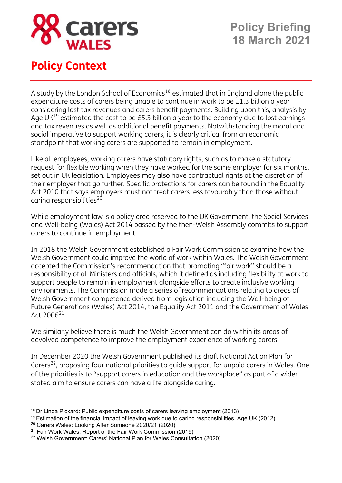

### **Policy Context**

A study by the London School of Economics<sup>[18](#page-5-0)</sup> estimated that in England alone the public expenditure costs of carers being unable to continue in work to be £1.3 billion a year considering lost tax revenues and carers benefit payments. Building upon this, analysis by Age UK $^{19}$  $^{19}$  $^{19}$  estimated the cost to be £5.3 billion a year to the economy due to lost earnings and tax revenues as well as additional benefit payments. Notwithstanding the moral and social imperative to support working carers, it is clearly critical from an economic standpoint that working carers are supported to remain in employment.

Like all employees, working carers have statutory rights, such as to make a statutory request for flexible working when they have worked for the same employer for six months, set out in UK legislation. Employees may also have contractual rights at the discretion of their employer that go further. Specific protections for carers can be found in the Equality Act 2010 that says employers must not treat carers less favourably than those without caring responsibilities<sup>[20](#page-5-2)</sup>.

While employment law is a policy area reserved to the UK Government, the Social Services and Well-being (Wales) Act 2014 passed by the then-Welsh Assembly commits to support carers to continue in employment.

In 2018 the Welsh Government established a Fair Work Commission to examine how the Welsh Government could improve the world of work within Wales. The Welsh Government accepted the Commission's recommendation that promoting "fair work" should be a responsibility of all Ministers and officials, which it defined as including flexibility at work to support people to remain in employment alongside efforts to create inclusive working environments. The Commission made a series of recommendations relating to areas of Welsh Government competence derived from legislation including the Well-being of Future Generations (Wales) Act 2014, the Equality Act 2011 and the Government of Wales Act 2006[21.](#page-5-3)

We similarly believe there is much the Welsh Government can do within its areas of devolved competence to improve the employment experience of working carers.

In December 2020 the Welsh Government published its draft National Action Plan for Carers<sup>[22](#page-5-4)</sup>, proposing four national priorities to quide support for unpaid carers in Wales. One of the priorities is to "support carers in education and the workplace" as part of a wider stated aim to ensure carers can have a life alongside caring.

<span id="page-5-0"></span><sup>&</sup>lt;sup>18</sup> Dr Linda Pickard: Public expenditure costs of carers leaving employment (2013)

<span id="page-5-1"></span><sup>&</sup>lt;sup>19</sup> Estimation of the financial impact of leaving work due to caring responsibilities. Age UK (2012)

<span id="page-5-2"></span><sup>20</sup> Carers Wales: Looking After Someone 2020/21 (2020)

<span id="page-5-3"></span><sup>21</sup> Fair Work Wales: Report of the Fair Work Commission (2019)

<span id="page-5-4"></span><sup>22</sup> Welsh Government: Carers' National Plan for Wales Consultation (2020)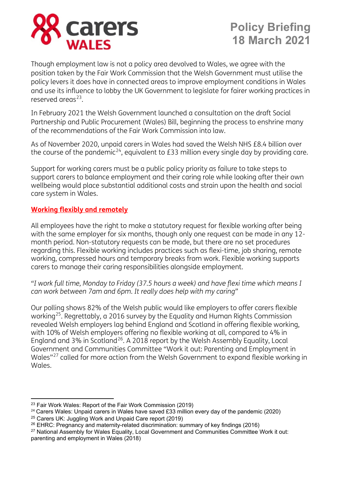

Though employment law is not a policy area devolved to Wales, we agree with the position taken by the Fair Work Commission that the Welsh Government must utilise the policy levers it does have in connected areas to improve employment conditions in Wales and use its influence to lobby the UK Government to legislate for fairer working practices in reserved areas<sup>[23](#page-6-0)</sup>

In February 2021 the Welsh Government launched a consultation on the draft Social Partnership and Public Procurement (Wales) Bill, beginning the process to enshrine many of the recommendations of the Fair Work Commission into law.

As of November 2020, unpaid carers in Wales had saved the Welsh NHS £8.4 billion over the course of the pandemic<sup>[24](#page-6-1)</sup>, equivalent to £33 million every single day by providing care.

Support for working carers must be a public policy priority as failure to take steps to support carers to balance employment and their caring role while looking after their own wellbeing would place substantial additional costs and strain upon the health and social care system in Wales.

#### **Working flexibly and remotely**

All employees have the right to make a statutory request for flexible working after being with the same employer for six months, though only one request can be made in any 12 month period. Non-statutory requests can be made, but there are no set procedures regarding this. Flexible working includes practices such as flexi-time, job sharing, remote working, compressed hours and temporary breaks from work. Flexible working supports carers to manage their caring responsibilities alongside employment.

*"I work full time, Monday to Friday (37.5 hours a week) and have flexi time which means I can work between 7am and 6pm. It really does help with my caring"*

Our polling shows 82% of the Welsh public would like employers to offer carers flexible working<sup>[25](#page-6-2)</sup>. Regrettably, a 2016 survey by the Equality and Human Rights Commission revealed Welsh employers lag behind England and Scotland in offering flexible working, with 10% of Welsh employers offering no flexible working at all, compared to 4% in England and 3% in Scotland<sup>[26](#page-6-3)</sup>. A 2018 report by the Welsh Assembly Equality, Local Government and Communities Committee "Work it out: Parenting and Employment in Wales"[27](#page-6-4) called for more action from the Welsh Government to expand flexible working in Wales.

<span id="page-6-0"></span><sup>23</sup> Fair Work Wales: Report of the Fair Work Commission (2019)

<span id="page-6-1"></span> $24$  Carers Wales: Unpaid carers in Wales have saved £33 million every day of the pandemic (2020)

<span id="page-6-2"></span><sup>25</sup> Carers UK: Juggling Work and Unpaid Care report (2019)

<span id="page-6-3"></span><sup>&</sup>lt;sup>26</sup> EHRC: Pregnancy and maternity-related discrimination: summary of key findings (2016)

<span id="page-6-4"></span><sup>&</sup>lt;sup>27</sup> National Assembly for Wales Equality, Local Government and Communities Committee Work it out: parenting and employment in Wales (2018)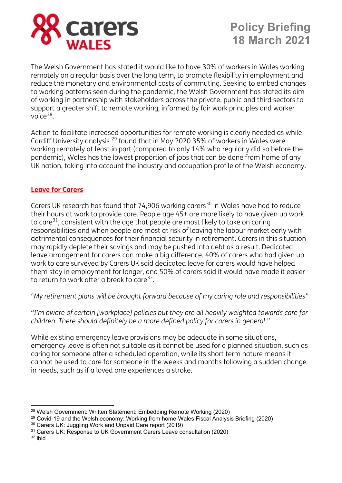

The Welsh Government has stated it would like to have 30% of workers in Wales working remotely on a regular basis over the long term, to promote flexibility in employment and reduce the monetary and environmental costs of commuting. Seeking to embed changes to working patterns seen during the pandemic, the Welsh Government has stated its aim of working in partnership with stakeholders across the private, public and third sectors to support a greater shift to remote working, informed by fair work principles and worker voice $^{28}$  $^{28}$  $^{28}$ .

Action to facilitate increased opportunities for remote working is clearly needed as while Cardiff University analysis [29](#page-7-1) found that in May 2020 35% of workers in Wales were working remotely at least in part (compared to only 14% who regularly did so before the pandemic), Wales has the lowest proportion of jobs that can be done from home of any UK nation, taking into account the industry and occupation profile of the Welsh economy.

#### **Leave for Carers**

Carers UK research has found that 74,906 working carers<sup>[30](#page-7-2)</sup> in Wales have had to reduce their hours at work to provide care. People age 45+ are more likely to have given up work to care<sup>31</sup>, consistent with the age that people are most likely to take on caring responsibilities and when people are most at risk of leaving the labour market early with detrimental consequences for their financial security in retirement. Carers in this situation may rapidly deplete their savings and may be pushed into debt as a result. Dedicated leave arrangement for carers can make a big difference. 40% of carers who had given up work to care surveyed by Carers UK said dedicated leave for carers would have helped them stay in employment for longer, and 50% of carers said it would have made it easier to return to work after a break to care  $32$ .

*"My retirement plans will be brought forward because of my caring role and responsibilities"* 

*"I'm aware of certain [workplace] policies but they are all heavily weighted towards care for children. There should definitely be a more defined policy for carers in general."*

While existing emergency leave provisions may be adequate in some situations, emergency leave is often not suitable as it cannot be used for a planned situation, such as caring for someone after a scheduled operation, while its short term nature means it cannot be used to care for someone in the weeks and months following a sudden change in needs, such as if a loved one experiences a stroke.

<span id="page-7-4"></span><sup>32</sup> ibid

<span id="page-7-0"></span><sup>28</sup> Welsh Government: Written Statement: Embedding Remote Working (2020)

<span id="page-7-1"></span><sup>&</sup>lt;sup>29</sup> Covid-19 and the Welsh economy: Working from home-Wales Fiscal Analysis Briefing (2020)

<span id="page-7-2"></span><sup>30</sup> Carers UK: Juggling Work and Unpaid Care report (2019)

<span id="page-7-3"></span><sup>&</sup>lt;sup>31</sup> Carers UK: Response to UK Government Carers Leave consultation (2020)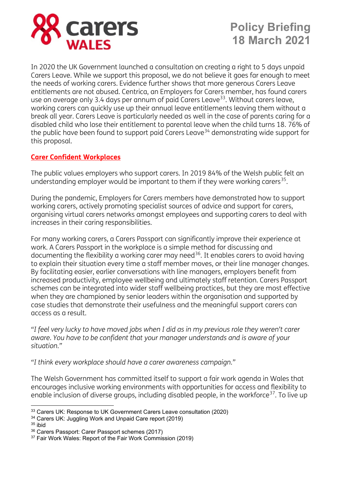

In 2020 the UK Government launched a consultation on creating a right to 5 days unpaid Carers Leave. While we support this proposal, we do not believe it goes far enough to meet the needs of working carers. Evidence further shows that more generous Carers Leave entitlements are not abused. Centrica, an Employers for Carers member, has found carers use on average only 3.4 days per annum of paid Carers Leave<sup>[33](#page-8-0)</sup>. Without carers leave, working carers can quickly use up their annual leave entitlements leaving them without a break all year. Carers Leave is particularly needed as well in the case of parents caring for a disabled child who lose their entitlement to parental leave when the child turns 18. 76% of the public have been found to support paid Carers Leave<sup>[34](#page-8-1)</sup> demonstrating wide support for this proposal.

#### **Carer Confident Workplaces**

The public values employers who support carers. In 2019 84% of the Welsh public felt an understanding employer would be important to them if they were working carers<sup>[35](#page-8-2)</sup>.

During the pandemic, Employers for Carers members have demonstrated how to support working carers, actively promoting specialist sources of advice and support for carers, organising virtual carers networks amongst employees and supporting carers to deal with increases in their caring responsibilities.

For many working carers, a Carers Passport can significantly improve their experience at work. A Carers Passport in the workplace is a simple method for discussing and documenting the flexibility a working carer may need<sup>[36](#page-8-3)</sup>. It enables carers to avoid having to explain their situation every time a staff member moves, or their line manager changes. By facilitating easier, earlier conversations with line managers, employers benefit from increased productivity, employee wellbeing and ultimately staff retention. Carers Passport schemes can be integrated into wider staff wellbeing practices, but they are most effective when they are championed by senior leaders within the organisation and supported by case studies that demonstrate their usefulness and the meaningful support carers can access as a result.

*"I feel very lucky to have moved jobs when I did as in my previous role they weren't carer aware. You have to be confident that your manager understands and is aware of your situation."*

*"I think every workplace should have a carer awareness campaign."*

The Welsh Government has committed itself to support a fair work agenda in Wales that encourages inclusive working environments with opportunities for access and flexibility to enable inclusion of diverse groups, including disabled people, in the workforce<sup>37</sup>. To live up

<span id="page-8-0"></span><sup>33</sup> Carers UK: Response to UK Government Carers Leave consultation (2020)

<span id="page-8-1"></span><sup>34</sup> Carers UK: Juggling Work and Unpaid Care report (2019)

<span id="page-8-2"></span> $35$  ibid

<span id="page-8-3"></span><sup>36</sup> Carers Passport: Carer Passport schemes (2017)

<span id="page-8-4"></span><sup>&</sup>lt;sup>37</sup> Fair Work Wales: Report of the Fair Work Commission (2019)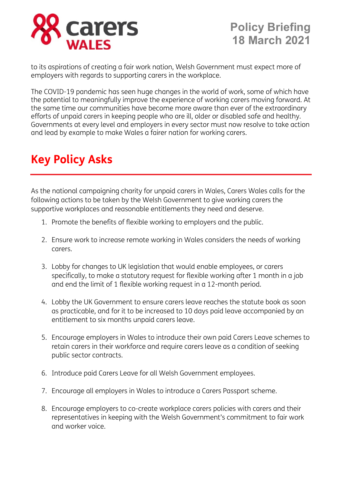

to its aspirations of creating a fair work nation, Welsh Government must expect more of employers with regards to supporting carers in the workplace.

The COVID-19 pandemic has seen huge changes in the world of work, some of which have the potential to meaningfully improve the experience of working carers moving forward. At the same time our communities have become more aware than ever of the extraordinary efforts of unpaid carers in keeping people who are ill, older or disabled safe and healthy. Governments at every level and employers in every sector must now resolve to take action and lead by example to make Wales a fairer nation for working carers.

## **Key Policy Asks**

As the national campaigning charity for unpaid carers in Wales, Carers Wales calls for the following actions to be taken by the Welsh Government to give working carers the supportive workplaces and reasonable entitlements they need and deserve.

- 1. Promote the benefits of flexible working to employers and the public.
- 2. Ensure work to increase remote working in Wales considers the needs of working carers.
- 3. Lobby for changes to UK legislation that would enable employees, or carers specifically, to make a statutory request for flexible working after 1 month in a job and end the limit of 1 flexible working request in a 12-month period.
- 4. Lobby the UK Government to ensure carers leave reaches the statute book as soon as practicable, and for it to be increased to 10 days paid leave accompanied by an entitlement to six months unpaid carers leave.
- 5. Encourage employers in Wales to introduce their own paid Carers Leave schemes to retain carers in their workforce and require carers leave as a condition of seeking public sector contracts.
- 6. Introduce paid Carers Leave for all Welsh Government employees.
- 7. Encourage all employers in Wales to introduce a Carers Passport scheme.
- 8. Encourage employers to co-create workplace carers policies with carers and their representatives in keeping with the Welsh Government's commitment to fair work and worker voice.